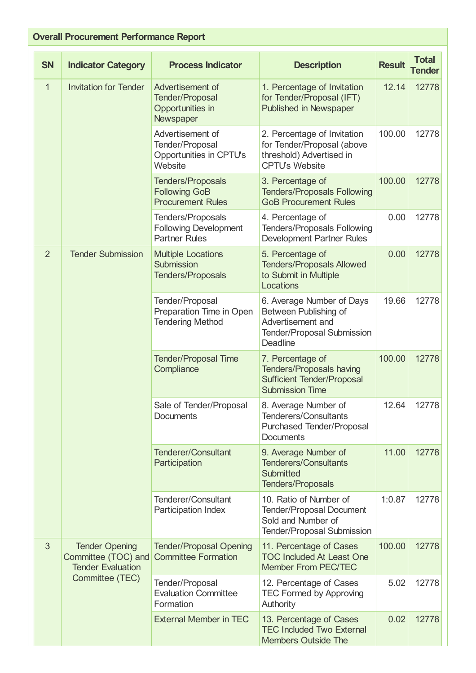| <b>Overall Procurement Performance Report</b> |                                                                                             |                                                                              |                                                                                                                                 |               |                               |  |  |  |
|-----------------------------------------------|---------------------------------------------------------------------------------------------|------------------------------------------------------------------------------|---------------------------------------------------------------------------------------------------------------------------------|---------------|-------------------------------|--|--|--|
| <b>SN</b>                                     | <b>Indicator Category</b>                                                                   | <b>Process Indicator</b>                                                     | <b>Description</b>                                                                                                              | <b>Result</b> | <b>Total</b><br><b>Tender</b> |  |  |  |
| $\mathbf{1}$                                  | <b>Invitation for Tender</b>                                                                | Advertisement of<br><b>Tender/Proposal</b><br>Opportunities in<br>Newspaper  | 1. Percentage of Invitation<br>for Tender/Proposal (IFT)<br><b>Published in Newspaper</b>                                       | 12.14         | 12778                         |  |  |  |
|                                               |                                                                                             | Advertisement of<br>Tender/Proposal<br>Opportunities in CPTU's<br>Website    | 2. Percentage of Invitation<br>for Tender/Proposal (above<br>threshold) Advertised in<br><b>CPTU's Website</b>                  | 100.00        | 12778                         |  |  |  |
|                                               |                                                                                             | <b>Tenders/Proposals</b><br><b>Following GoB</b><br><b>Procurement Rules</b> | 3. Percentage of<br><b>Tenders/Proposals Following</b><br><b>GoB Procurement Rules</b>                                          | 100.00        | 12778                         |  |  |  |
|                                               |                                                                                             | Tenders/Proposals<br><b>Following Development</b><br><b>Partner Rules</b>    | 4. Percentage of<br><b>Tenders/Proposals Following</b><br><b>Development Partner Rules</b>                                      | 0.00          | 12778                         |  |  |  |
| $\overline{2}$                                | <b>Tender Submission</b>                                                                    | <b>Multiple Locations</b><br>Submission<br><b>Tenders/Proposals</b>          | 5. Percentage of<br><b>Tenders/Proposals Allowed</b><br>to Submit in Multiple<br>Locations                                      | 0.00          | 12778                         |  |  |  |
|                                               |                                                                                             | Tender/Proposal<br>Preparation Time in Open<br><b>Tendering Method</b>       | 6. Average Number of Days<br>Between Publishing of<br>Advertisement and<br><b>Tender/Proposal Submission</b><br><b>Deadline</b> | 19.66         | 12778                         |  |  |  |
|                                               |                                                                                             | <b>Tender/Proposal Time</b><br>Compliance                                    | 7. Percentage of<br><b>Tenders/Proposals having</b><br><b>Sufficient Tender/Proposal</b><br><b>Submission Time</b>              | 100.00        | 12778                         |  |  |  |
|                                               |                                                                                             | Sale of Tender/Proposal<br>Documents                                         | 8. Average Number of<br><b>Tenderers/Consultants</b><br><b>Purchased Tender/Proposal</b><br><b>Documents</b>                    | 12.64         | 12778                         |  |  |  |
|                                               |                                                                                             | <b>Tenderer/Consultant</b><br>Participation                                  | 9. Average Number of<br><b>Tenderers/Consultants</b><br><b>Submitted</b><br><b>Tenders/Proposals</b>                            | 11.00         | 12778                         |  |  |  |
|                                               |                                                                                             | <b>Tenderer/Consultant</b><br>Participation Index                            | 10. Ratio of Number of<br><b>Tender/Proposal Document</b><br>Sold and Number of<br><b>Tender/Proposal Submission</b>            | 1:0.87        | 12778                         |  |  |  |
| 3                                             | <b>Tender Opening</b><br>Committee (TOC) and<br><b>Tender Evaluation</b><br>Committee (TEC) | <b>Tender/Proposal Opening</b><br><b>Committee Formation</b>                 | 11. Percentage of Cases<br><b>TOC Included At Least One</b><br><b>Member From PEC/TEC</b>                                       | 100.00        | 12778                         |  |  |  |
|                                               |                                                                                             | Tender/Proposal<br><b>Evaluation Committee</b><br>Formation                  | 12. Percentage of Cases<br><b>TEC Formed by Approving</b><br>Authority                                                          | 5.02          | 12778                         |  |  |  |
|                                               |                                                                                             | <b>External Member in TEC</b>                                                | 13. Percentage of Cases<br><b>TEC Included Two External</b><br><b>Members Outside The</b>                                       | 0.02          | 12778                         |  |  |  |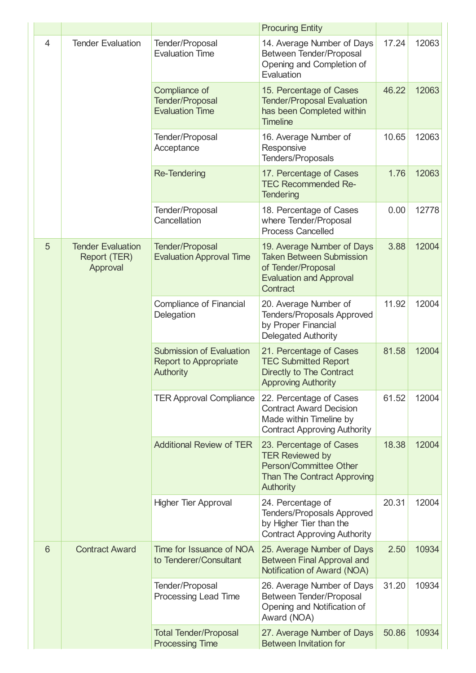|                |                                                      |                                                                                     | <b>Procuring Entity</b>                                                                                                               |       |       |
|----------------|------------------------------------------------------|-------------------------------------------------------------------------------------|---------------------------------------------------------------------------------------------------------------------------------------|-------|-------|
| $\overline{4}$ | <b>Tender Evaluation</b>                             | Tender/Proposal<br><b>Evaluation Time</b>                                           | 14. Average Number of Days<br>Between Tender/Proposal<br>Opening and Completion of<br>Evaluation                                      | 17.24 | 12063 |
|                |                                                      | Compliance of<br><b>Tender/Proposal</b><br><b>Evaluation Time</b>                   | 15. Percentage of Cases<br><b>Tender/Proposal Evaluation</b><br>has been Completed within<br><b>Timeline</b>                          | 46.22 | 12063 |
|                |                                                      | Tender/Proposal<br>Acceptance                                                       | 16. Average Number of<br>Responsive<br>Tenders/Proposals                                                                              | 10.65 | 12063 |
|                |                                                      | <b>Re-Tendering</b>                                                                 | 17. Percentage of Cases<br><b>TEC Recommended Re-</b><br><b>Tendering</b>                                                             | 1.76  | 12063 |
|                |                                                      | Tender/Proposal<br>Cancellation                                                     | 18. Percentage of Cases<br>where Tender/Proposal<br><b>Process Cancelled</b>                                                          | 0.00  | 12778 |
| 5              | <b>Tender Evaluation</b><br>Report (TER)<br>Approval | <b>Tender/Proposal</b><br><b>Evaluation Approval Time</b>                           | 19. Average Number of Days<br><b>Taken Between Submission</b><br>of Tender/Proposal<br><b>Evaluation and Approval</b><br>Contract     | 3.88  | 12004 |
|                |                                                      | <b>Compliance of Financial</b><br>Delegation                                        | 20. Average Number of<br><b>Tenders/Proposals Approved</b><br>by Proper Financial<br><b>Delegated Authority</b>                       | 11.92 | 12004 |
|                |                                                      | <b>Submission of Evaluation</b><br><b>Report to Appropriate</b><br><b>Authority</b> | 21. Percentage of Cases<br><b>TEC Submitted Report</b><br>Directly to The Contract<br><b>Approving Authority</b>                      | 81.58 | 12004 |
|                |                                                      | <b>TER Approval Compliance</b>                                                      | 22. Percentage of Cases<br><b>Contract Award Decision</b><br>Made within Timeline by<br><b>Contract Approving Authority</b>           | 61.52 | 12004 |
|                |                                                      | <b>Additional Review of TER</b>                                                     | 23. Percentage of Cases<br><b>TER Reviewed by</b><br>Person/Committee Other<br><b>Than The Contract Approving</b><br><b>Authority</b> | 18.38 | 12004 |
|                |                                                      | <b>Higher Tier Approval</b>                                                         | 24. Percentage of<br><b>Tenders/Proposals Approved</b><br>by Higher Tier than the<br><b>Contract Approving Authority</b>              | 20.31 | 12004 |
| 6              | <b>Contract Award</b>                                | Time for Issuance of NOA<br>to Tenderer/Consultant                                  | 25. Average Number of Days<br><b>Between Final Approval and</b><br>Notification of Award (NOA)                                        | 2.50  | 10934 |
|                |                                                      | Tender/Proposal<br>Processing Lead Time                                             | 26. Average Number of Days<br>Between Tender/Proposal<br>Opening and Notification of<br>Award (NOA)                                   | 31.20 | 10934 |
|                |                                                      | <b>Total Tender/Proposal</b><br><b>Processing Time</b>                              | 27. Average Number of Days<br><b>Between Invitation for</b>                                                                           | 50.86 | 10934 |